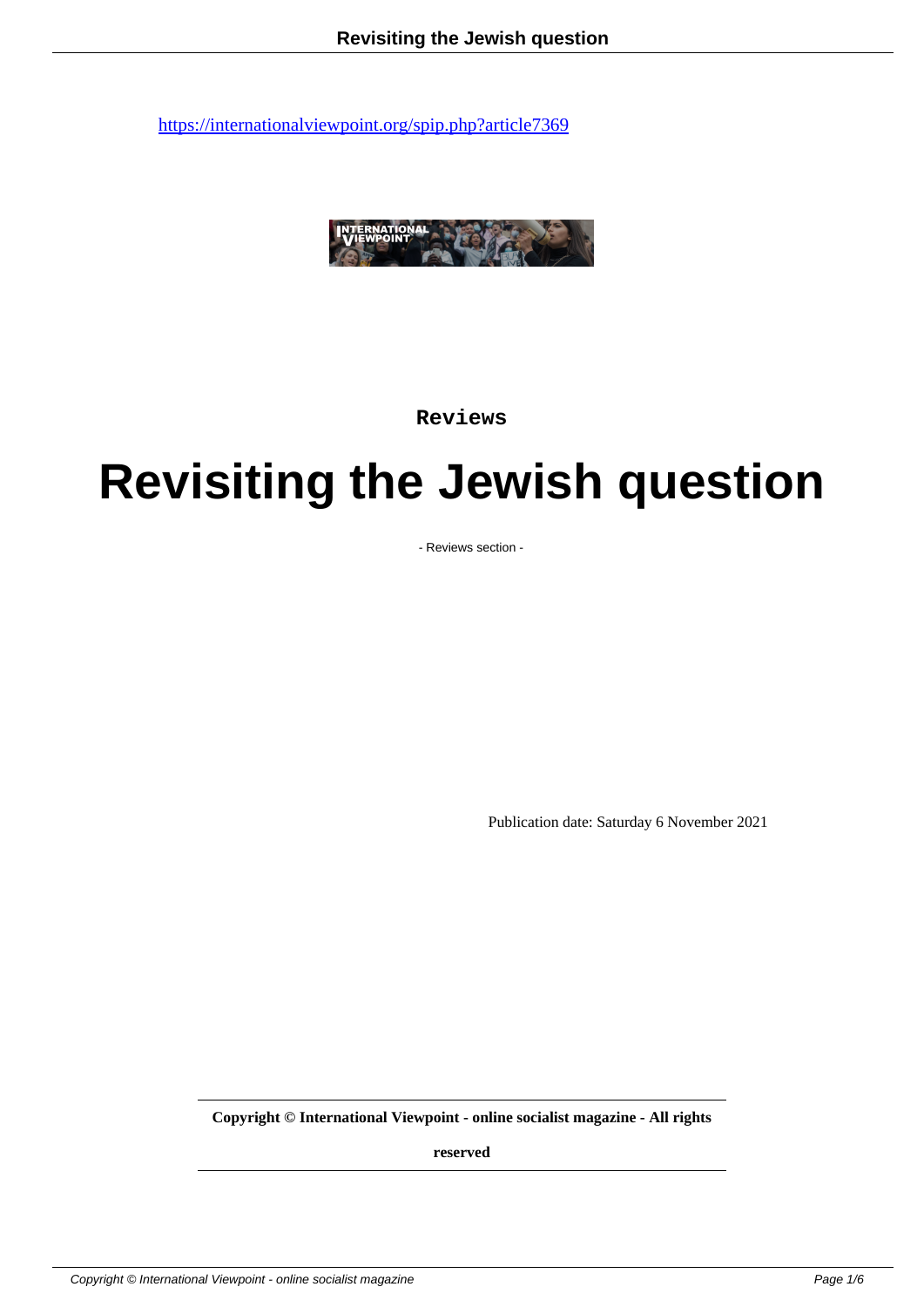

**Reviews**

## **Revisiting the Jewish question**

- Reviews section -

Publication date: Saturday 6 November 2021

**Copyright © International Viewpoint - online socialist magazine - All rights**

**reserved**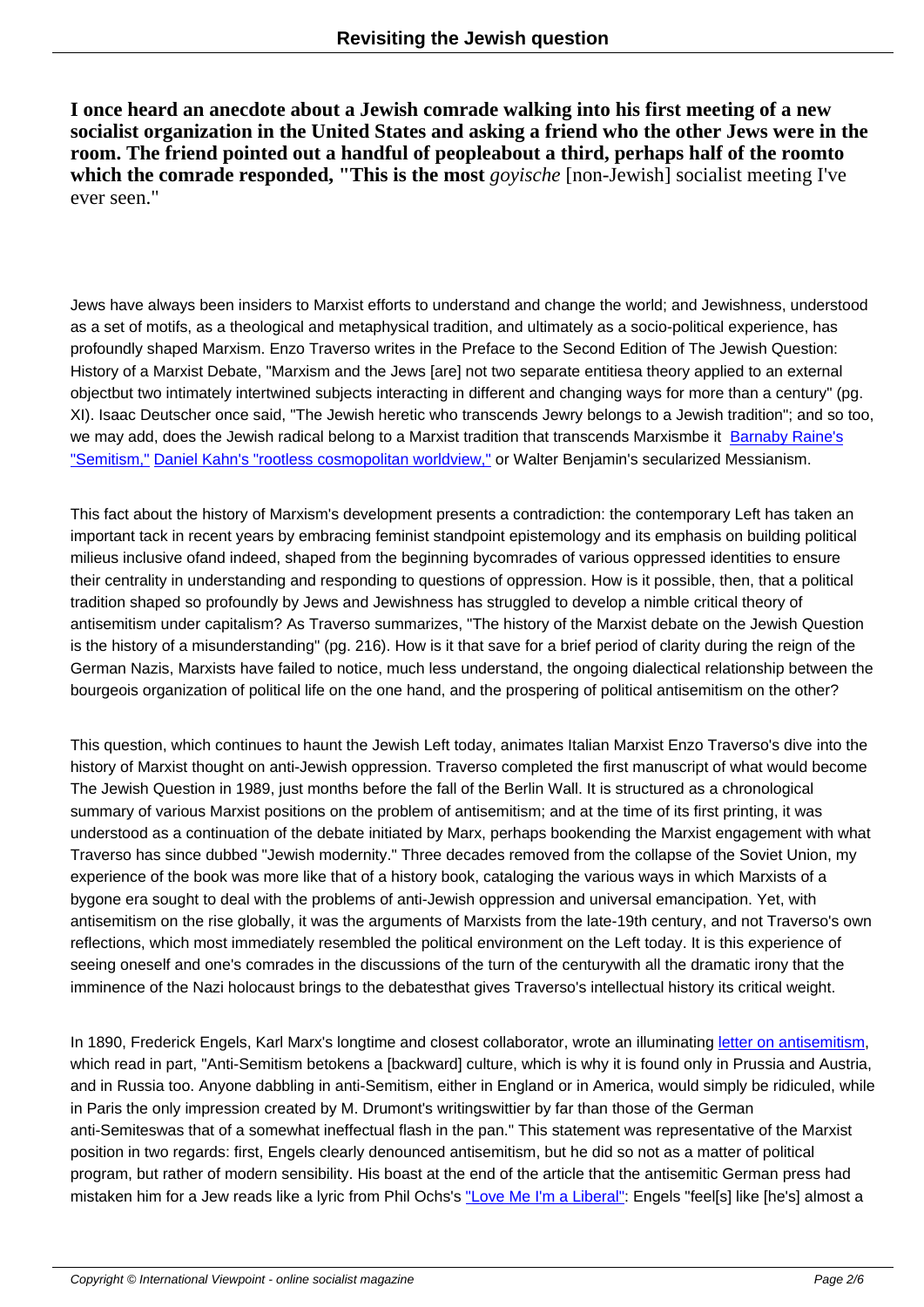**I once heard an anecdote about a Jewish comrade walking into his first meeting of a new socialist organization in the United States and asking a friend who the other Jews were in the room. The friend pointed out a handful of peopleabout a third, perhaps half of the roomto which the comrade responded, "This is the most** *goyische* [non-Jewish] socialist meeting I've ever seen."

Jews have always been insiders to Marxist efforts to understand and change the world; and Jewishness, understood as a set of motifs, as a theological and metaphysical tradition, and ultimately as a socio-political experience, has profoundly shaped Marxism. Enzo Traverso writes in the Preface to the Second Edition of The Jewish Question: History of a Marxist Debate, "Marxism and the Jews [are] not two separate entitiesa theory applied to an external object but two intimately intertwined subjects interacting in different and changing ways for more than a century" (pg. XI). Isaac Deutscher once said, "The Jewish heretic who transcends Jewry belongs to a Jewish tradition"; and so too, we may add, does the Jewish radical belong to a Marxist tradition that transcends Marxism be it Barnaby Raine's "Semitism," Daniel Kahn's "rootless cosmopolitan worldview," or Walter Benjamin's secularized Messianism.

This fact about the history of Marxism's development presents a contradiction: the contemporary [Left has taken a](https://salvage.zone/in-print/jewophobia-2/)n [important ta](https://salvage.zone/in-print/jewophobia-2/)[ck in recent years by embracing feminist standpoi](https://www.youtube.com/watch?v=lajx6ApuEwQ)nt epistemology and its emphasis on building political milieus inclusive of and indeed, shaped from the beginning by comrades of various oppressed identities to ensure their centrality in understanding and responding to questions of oppression. How is it possible, then, that a political tradition shaped so profoundly by Jews and Jewishness has struggled to develop a nimble critical theory of antisemitism under capitalism? As Traverso summarizes, "The history of the Marxist debate on the Jewish Question is the history of a misunderstanding" (pg. 216). How is it that save for a brief period of clarity during the reign of the German Nazis, Marxists have failed to notice, much less understand, the ongoing dialectical relationship between the bourgeois organization of political life on the one hand, and the prospering of political antisemitism on the other?

This question, which continues to haunt the Jewish Left today, animates Italian Marxist Enzo Traverso's dive into the history of Marxist thought on anti-Jewish oppression. Traverso completed the first manuscript of what would become The Jewish Question in 1989, just months before the fall of the Berlin Wall. It is structured as a chronological summary of various Marxist positions on the problem of antisemitism; and at the time of its first printing, it was understood as a continuation of the debate initiated by Marx, perhaps bookending the Marxist engagement with what Traverso has since dubbed "Jewish modernity." Three decades removed from the collapse of the Soviet Union, my experience of the book was more like that of a history book, cataloging the various ways in which Marxists of a bygone era sought to deal with the problems of anti-Jewish oppression and universal emancipation. Yet, with antisemitism on the rise globally, it was the arguments of Marxists from the late-19th century, and not Traverso's own reflections, which most immediately resembled the political environment on the Left today. It is this experience of seeing oneself and one's comrades in the discussions of the turn of the century with all the dramatic irony that the imminence of the Nazi holocaust brings to the debates that gives Traverso's intellectual history its critical weight.

In 1890, Frederick Engels, Karl Marx's longtime and closest collaborator, wrote an illuminating letter on antisemitism, which read in part, "Anti-Semitism betokens a [backward] culture, which is why it is found only in Prussia and Austria, and in Russia too. Anyone dabbling in anti-Semitism, either in England or in America, would simply be ridiculed, while in Paris the only impression created by M. Drumont's writingswittier by far than those of the German anti-Semiteswas that of a somewhat ineffectual flash in the pan." This statement was represe[ntative of the Marxist](https://www.marxists.org/archive/marx/works/1890/04/19.htm) position in two regards: first, Engels clearly denounced antisemitism, but he did so not as a matter of political program, but rather of modern sensibility. His boast at the end of the article that the antisemitic German press had mistaken him for a Jew reads like a lyric from Phil Ochs's "Love Me I'm a Liberal": Engels "feel[s] like [he's] almost a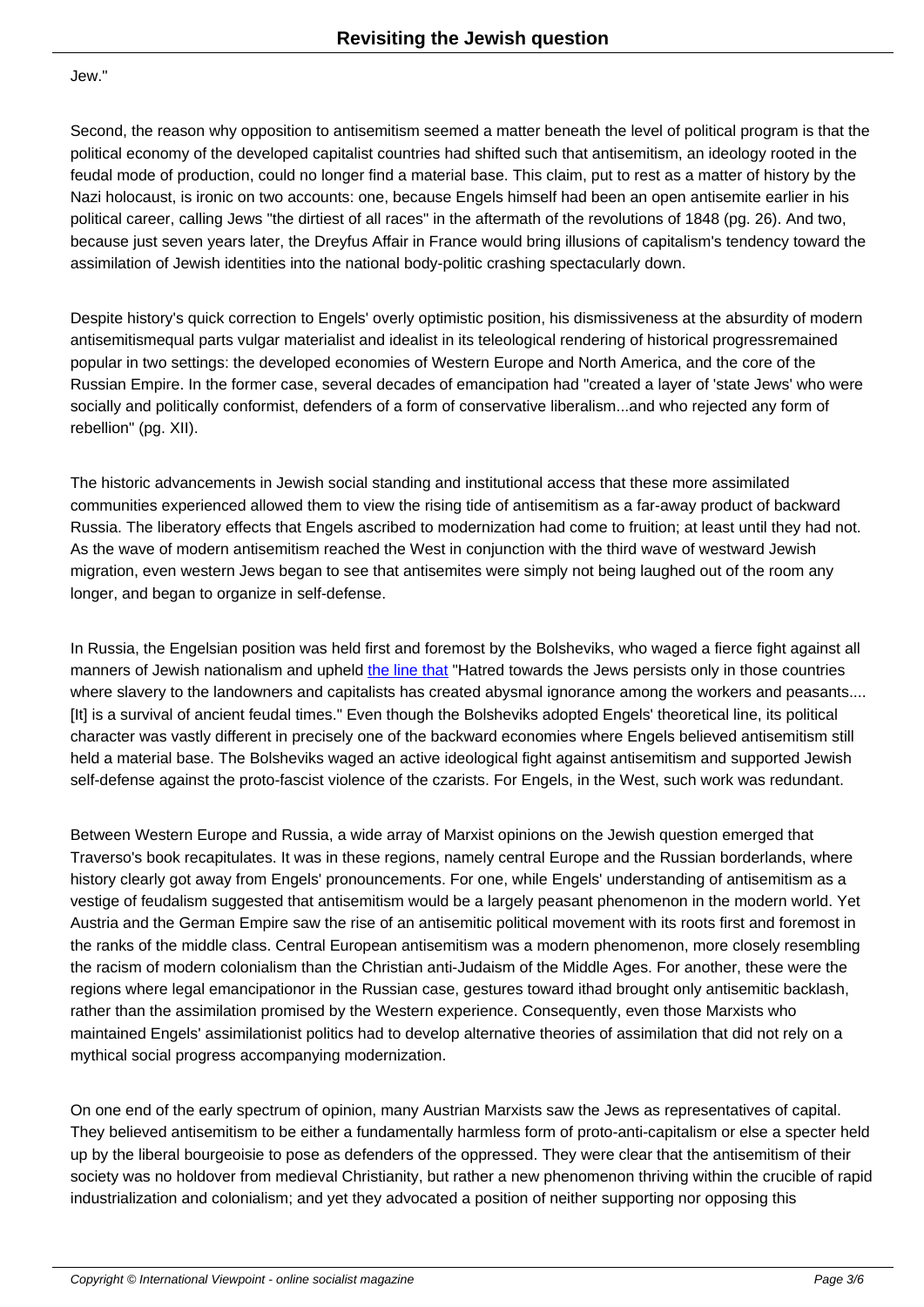Jew."

Second, the reason why opposition to antisemitism seemed a matter beneath the level of political program is that the political economy of the developed capitalist countries had shifted such that antisemitism, an ideology rooted in the feudal mode of production, could no longer find a material base. This claim, put to rest as a matter of history by the Nazi holocaust, is ironic on two accounts: one, because Engels himself had been an open antisemite earlier in his political career, calling Jews "the dirtiest of all races" in the aftermath of the revolutions of 1848 (pg. 26). And two, because just seven years later, the Dreyfus Affair in France would bring illusions of capitalism's tendency toward the assimilation of Jewish identities into the national body-politic crashing spectacularly down.

Despite history's quick correction to Engels' overly optimistic position, his dismissiveness at the absurdity of modern antisemitism equal parts vulgar materialist and idealist in its teleological rendering of historical progress remained popular in two settings: the developed economies of Western Europe and North America, and the core of the Russian Empire. In the former case, several decades of emancipation had "created a layer of 'state Jews' who were socially and politically conformist, defenders of a form of conservative liberalism...and who rejected any form of rebellion" (pg. XII).

The historic advancements in Jewish social standing and institutional access that these more assimilated communities experienced allowed them to view the rising tide of antisemitism as a far-away product of backward Russia. The liberatory effects that Engels ascribed to modernization had come to fruition; at least until they had not. As the wave of modern antisemitism reached the West in conjunction with the third wave of westward Jewish migration, even western Jews began to see that antisemites were simply not being laughed out of the room any longer, and began to organize in self-defense.

In Russia, the Engelsian position was held first and foremost by the Bolsheviks, who waged a fierce fight against all manners of Jewish nationalism and upheld the line that "Hatred towards the Jews persists only in those countries where slavery to the landowners and capitalists has created abysmal ignorance among the workers and peasants.... [It] is a survival of ancient feudal times." Even though the Bolsheviks adopted Engels' theoretical line, its political character was vastly different in precisely one of the backward economies where Engels believed antisemitism still held a material base. The Bolsheviks wage[d an active id](https://www.marxists.org/archive/lenin/works/1919/mar/x10.htm)eological fight against antisemitism and supported Jewish self-defense against the proto-fascist violence of the czarists. For Engels, in the West, such work was redundant.

Between Western Europe and Russia, a wide array of Marxist opinions on the Jewish question emerged that Traverso's book recapitulates. It was in these regions, namely central Europe and the Russian borderlands, where history clearly got away from Engels' pronouncements. For one, while Engels' understanding of antisemitism as a vestige of feudalism suggested that antisemitism would be a largely peasant phenomenon in the modern world. Yet Austria and the German Empire saw the rise of an antisemitic political movement with its roots first and foremost in the ranks of the middle class. Central European antisemitism was a modern phenomenon, more closely resembling the racism of modern colonialism than the Christian anti-Judaism of the Middle Ages. For another, these were the regions where legal emancipation or in the Russian case, gestures toward it had brought only antisemitic backlash, rather than the assimilation promised by the Western experience. Consequently, even those Marxists who maintained Engels' assimilationist politics had to develop alternative theories of assimilation that did not rely on a mythical social progress accompanying modernization.

On one end of the early spectrum of opinion, many Austrian Marxists saw the Jews as representatives of capital. They believed antisemitism to be either a fundamentally harmless form of proto-anti-capitalism or else a specter held up by the liberal bourgeoisie to pose as defenders of the oppressed. They were clear that the antisemitism of their society was no holdover from medieval Christianity, but rather a new phenomenon thriving within the crucible of rapid industrialization and colonialism; and yet they advocated a position of neither supporting nor opposing this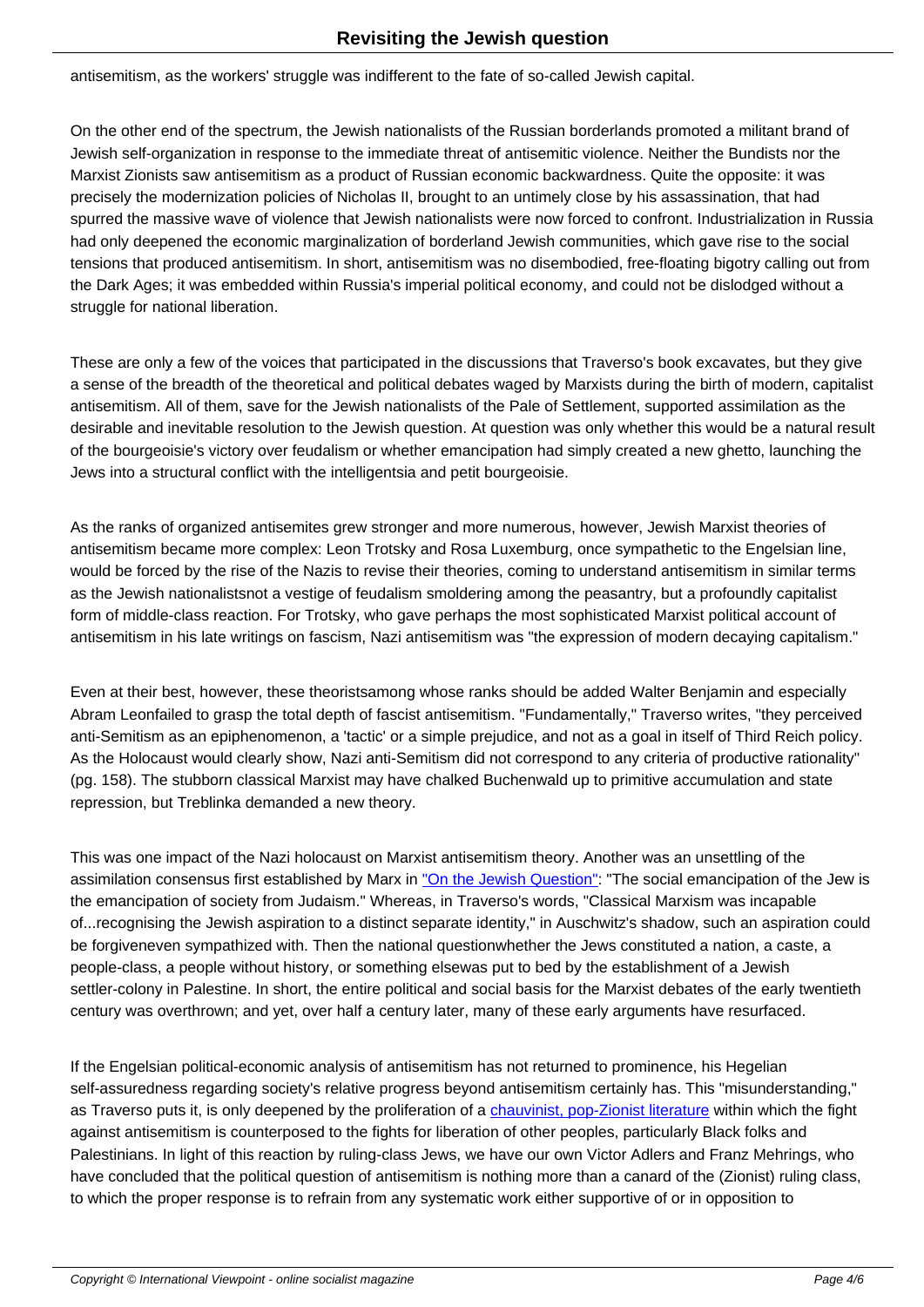as the workers' struggle was indifferent to the fate of so-called Jewish ca

On the other end of the spectrum, the Jewish nationalists of the Russian borderlands promoted a militant brand of Jewish self-organization in response to the immediate threat of antisemitic violence. Neither the Bundists nor the Marxist Zionists saw antisemitism as a product of Russian economic backwardness. Quite the opposite: it was precisely the modernization policies of Nicholas II, brought to an untimely close by his assassination, that had spurred the massive wave of violence that Jewish nationalists were now forced to confront. Industrialization in Russia had only deepened the economic marginalization of borderland Jewish communities, which gave rise to the social tensions that produced antisemitism. In short, antisemitism was no disembodied, free-floating bigotry calling out from the Dark Ages; it was embedded within Russia's imperial political economy, and could not be dislodged without a struggle for national liberation.

These are only a few of the voices that participated in the discussions that Traverso's book excavates, but they give a sense of the breadth of the theoretical and political debates waged by Marxists during the birth of modern, capitalist antisemitism. All of them, save for the Jewish nationalists of the Pale of Settlement, supported assimilation as the desirable and inevitable resolution to the Jewish question. At question was only whether this would be a natural result of the bourgeoisie's victory over feudalism or whether emancipation had simply created a new ghetto, launching the Jews into a structural conflict with the intelligentsia and petit bourgeoisie.

As the ranks of organized antisemites grew stronger and more numerous, however, Jewish Marxist theories of antisemitism became more complex: Leon Trotsky and Rosa Luxemburg, once sympathetic to the Engelsian line, would be forced by the rise of the Nazis to revise their theories, coming to understand antisemitism in similar terms as the Jewish nationalists not a vestige of feudalism smoldering among the peasantry, but a profoundly capitalist form of middle-class reaction. For Trotsky, who gave perhaps the most sophisticated Marxist political account of antisemitism in his late writings on fascism, Nazi antisemitism was "the expression of modern decaying capitalism."

Even at their best, however, these theoristsamong whose ranks should be added Walter Benjamin and especially Abram Leon failed to grasp the total depth of fascist antisemitism. "Fundamentally," Traverso writes, "they perceived anti-Semitism as an epiphenomenon, a 'tactic' or a simple prejudice, and not as a goal in itself of Third Reich policy. As the Holocaust would clearly show, Nazi anti-Semitism did not correspond to any criteria of productive rationality" (pg. 158). The stubborn classical Marxist may have chalked Buchenwald up to primitive accumulation and state repression, but Treblinka demanded a new theory.

This was one impact of the Nazi holocaust on Marxist antisemitism theory. Another was an unsettling of the assimilation consensus first established by Marx in "On the Jewish Question": "The social emancipation of the Jew is the emancipation of society from Judaism." Whereas, in Traverso's words, "Classical Marxism was incapable of...recognising the Jewish aspiration to a distinct separate identity," in Auschwitz's shadow, such an aspiration could be forgiven even sympathized with. Then the national question whether the Jews constituted a nation, a caste, a people-class, a people without history, or somethin[g elsewas put to bed by th](https://www.marxists.org/archive/marx/works/1844/jewish-question/)e establishment of a Jewish settler-colony in Palestine. In short, the entire political and social basis for the Marxist debates of the early twentieth century was overthrown; and yet, over half a century later, many of these early arguments have resurfaced.

If the Engelsian political-economic analysis of antisemitism has not returned to prominence, his Hegelian self-assuredness regarding society's relative progress beyond antisemitism certainly has. This "misunderstanding," as Traverso puts it, is only deepened by the proliferation of a chauvinist, pop-Zionist literature within which the fight against antisemitism is counterposed to the fights for liberation of other peoples, particularly Black folks and Palestinians. In light of this reaction by ruling-class Jews, we have our own Victor Adlers and Franz Mehrings, who have concluded that the political question of antisemitism is nothing more than a canard of the (Zionist) ruling class, to which the proper response is to refrain from any systemati[c work either supportive of or in o](https://forward.com/opinion/420430/the-left-is-making-jews-choose-our-progressive-values-or-ourselves/)pposition to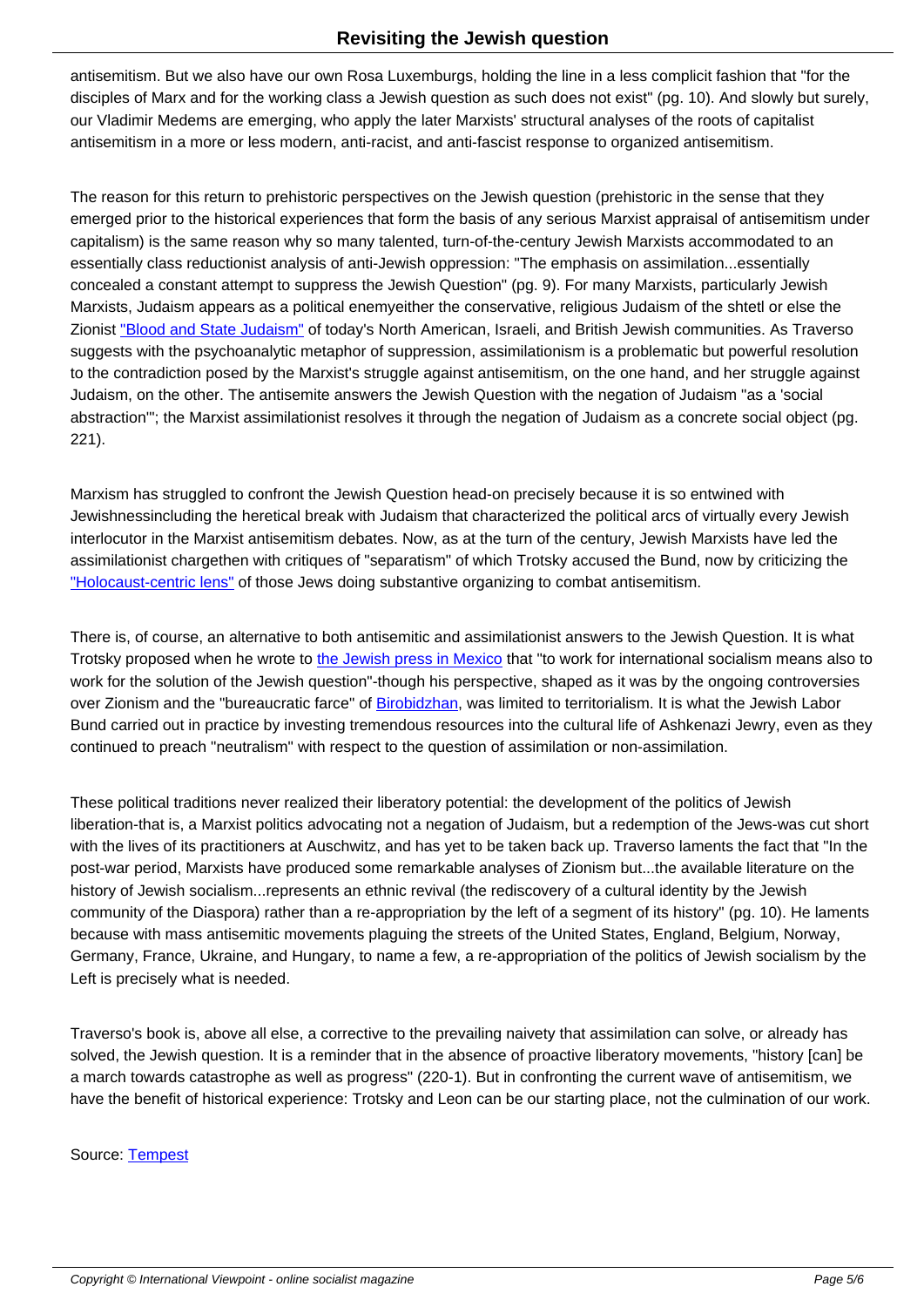antisemitism. But we also have our own Rosa Luxemburgs, holding the line in a less complicit fashion that "for the disciples of Marx and for the working class a Jewish question as such does not exist" (pg. 10). And slowly but surely, our Vladimir Medems are emerging, who apply the later Marxists' structural analyses of the roots of capitalist antisemitism in a more or less modern, anti-racist, and anti-fascist response to organized antisemitism.

The reason for this return to prehistoric perspectives on the Jewish question (prehistoric in the sense that they emerged prior to the historical experiences that form the basis of any serious Marxist appraisal of antisemitism under capitalism) is the same reason why so many talented, turn-of-the-century Jewish Marxists accommodated to an essentially class reductionist analysis of anti-Jewish oppression: "The emphasis on assimilation...essentially concealed a constant attempt to suppress the Jewish Question" (pg. 9). For many Marxists, particularly Jewish Marxists, Judaism appears as a political enemyeither the conservative, religious Judaism of the shtetl or else the Zionist "Blood and State Judaism" of today's North American, Israeli, and British Jewish communities. As Traverso suggests with the psychoanalytic metaphor of suppression, assimilationism is a problematic but powerful resolution to the contradiction posed by the Marxist's struggle against antisemitism, on the one hand, and her struggle against Judaism, on the other. The antisemite answers the Jewish Question with the negation of Judaism "as a 'social abstra[ction'"; the Marxist assimilati](https://doikayt.com/2017/10/20/a-spot-at-the-kotel-wont-save-us-a-crisis-in-american-judaism/)onist resolves it through the negation of Judaism as a concrete social object (pg. 221).

Marxism has struggled to confront the Jewish Question head-on precisely because it is so entwined with Jewishness including the heretical break with Judaism that characterized the political arcs of virtually every Jewish interlocutor in the Marxist antisemitism debates. Now, as at the turn of the century, Jewish Marxists have led the assimilationist charge then with critiques of "separatism" of which Trotsky accused the Bund, now by criticizing the "Holocaust-centric lens" of those Jews doing substantive organizing to combat antisemitism.

There is, of course, an alternative to both antisemitic and assimilationist answers to the Jewish Question. It is what [Trotsky proposed when](https://jewishcurrents.org/how-not-to-fight-antisemitism/) he wrote to the Jewish press in Mexico that "to work for international socialism means also to work for the solution of the Jewish question"-though his perspective, shaped as it was by the ongoing controversies over Zionism and the "bureaucratic farce" of Birobidzhan, was limited to territorialism. It is what the Jewish Labor Bund carried out in practice by investing tremendous resources into the cultural life of Ashkenazi Jewry, even as they continued to preach "neutralism" wi[th respect to the question of](https://www.marxists.org/archive/trotsky/1940/xx/jewish.htm) assimilation or non-assimilation.

These political traditions never realized their liberatory potential: the development of the politics of Jewish liberation-that is, a Marxist politics advocating not a negation of Judaism, but a redemption of the Jews-was cut short with the lives of its practitioners at Auschwitz, and has yet to be taken back up. Traverso laments the fact that "In the post-war period, Marxists have produced some remarkable analyses of Zionism but...the available literature on the history of Jewish socialism...represents an ethnic revival (the rediscovery of a cultural identity by the Jewish community of the Diaspora) rather than a re-appropriation by the left of a segment of its history" (pg. 10). He laments because with mass antisemitic movements plaguing the streets of the United States, England, Belgium, Norway, Germany, France, Ukraine, and Hungary, to name a few, a re-appropriation of the politics of Jewish socialism by the Left is precisely what is needed.

Traverso's book is, above all else, a corrective to the prevailing naivety that assimilation can solve, or already has solved, the Jewish question. It is a reminder that in the absence of proactive liberatory movements, "history [can] be a march towards catastrophe as well as progress" (220-1). But in confronting the current wave of antisemitism, we have the benefit of historical experience: Trotsky and Leon can be our starting place, not the culmination of our work.

Source: Tempest